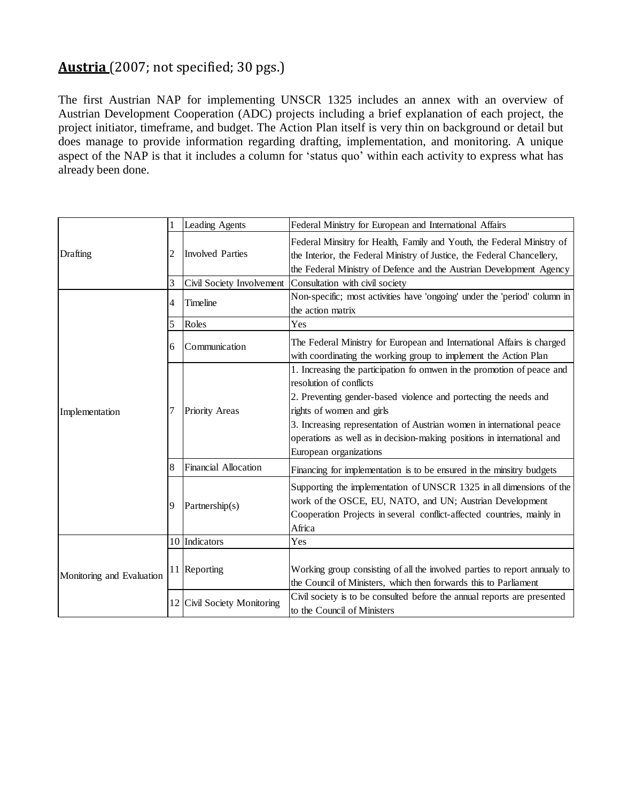## **Austria** (2007; not specified; 30 pgs.)

The first Austrian NAP for implementing UNSCR 1325 includes an annex with an overview of Austrian Development Cooperation (ADC) projects including a brief explanation of each project, the project initiator, timeframe, and budget. The Action Plan itself is very thin on background or detail but does manage to provide information regarding drafting, implementation, and monitoring. A unique aspect of the NAP is that it includes a column for 'status quo' within each activity to express what has already been done.

| Drafting                  |   | Leading Agents              | Federal Ministry for European and International Affairs                                                                                                                                                                                                                                                                                                                          |
|---------------------------|---|-----------------------------|----------------------------------------------------------------------------------------------------------------------------------------------------------------------------------------------------------------------------------------------------------------------------------------------------------------------------------------------------------------------------------|
|                           | 2 | <b>Involved Parties</b>     | Federal Minsitry for Health, Family and Youth, the Federal Ministry of<br>the Interior, the Federal Ministry of Justice, the Federal Chancellery,<br>the Federal Ministry of Defence and the Austrian Development Agency                                                                                                                                                         |
|                           | 3 | Civil Society Involvement   | Consultation with civil society                                                                                                                                                                                                                                                                                                                                                  |
| Implementation            | 4 | Timeline                    | Non-specific; most activities have 'ongoing' under the 'period' column in<br>the action matrix                                                                                                                                                                                                                                                                                   |
|                           | 5 | Roles                       | Yes                                                                                                                                                                                                                                                                                                                                                                              |
|                           | 6 | Communication               | The Federal Ministry for European and International Affairs is charged<br>with coordinating the working group to implement the Action Plan                                                                                                                                                                                                                                       |
|                           |   | Priority Areas              | 1. Increasing the participation fo omwen in the promotion of peace and<br>resolution of conflicts<br>2. Preventing gender-based violence and portecting the needs and<br>rights of women and girls<br>3. Increasing representation of Austrian women in international peace<br>operations as well as in decision-making positions in international and<br>European organizations |
|                           | 8 | Financial Allocation        | Financing for implementation is to be ensured in the minsitry budgets                                                                                                                                                                                                                                                                                                            |
|                           | 9 | Partnership(s)              | Supporting the implementation of UNSCR 1325 in all dimensions of the<br>work of the OSCE, EU, NATO, and UN; Austrian Development<br>Cooperation Projects in several conflict-affected countries, mainly in<br>Africa                                                                                                                                                             |
| Monitoring and Evaluation |   | 10 Indicators               | Yes                                                                                                                                                                                                                                                                                                                                                                              |
|                           |   | 11 Reporting                | Working group consisting of all the involved parties to report annualy to<br>the Council of Ministers, which then forwards this to Parliament                                                                                                                                                                                                                                    |
|                           |   | 12 Civil Society Monitoring | Civil society is to be consulted before the annual reports are presented<br>to the Council of Ministers                                                                                                                                                                                                                                                                          |